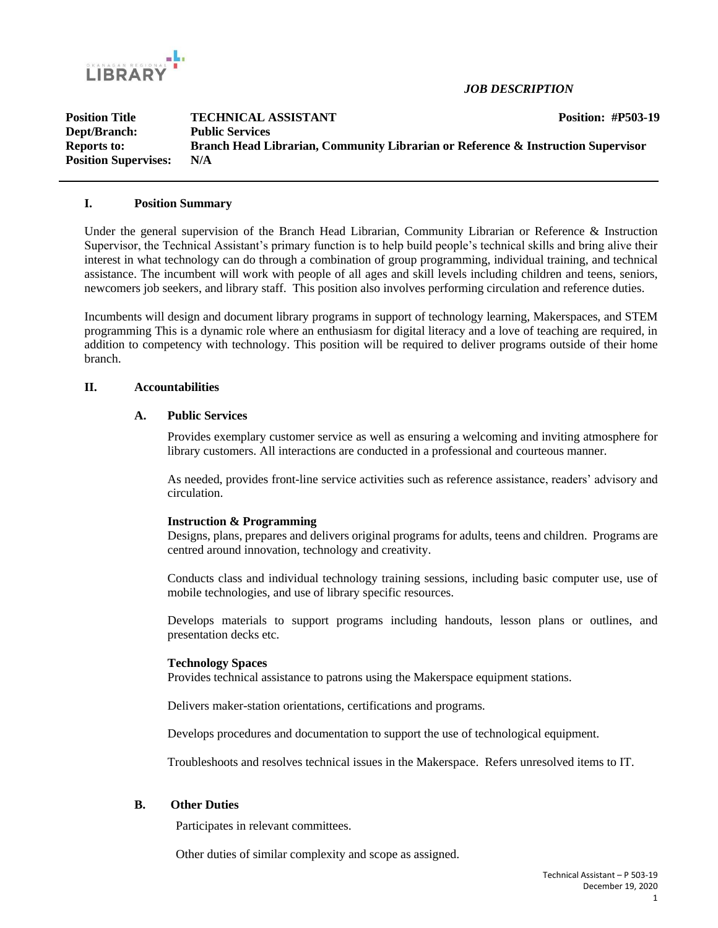

*JOB DESCRIPTION*

| <b>Position Title</b>       | <b>TECHNICAL ASSISTANT</b>                                                       | <b>Position: #P503-19</b> |
|-----------------------------|----------------------------------------------------------------------------------|---------------------------|
| Dept/Branch:                | <b>Public Services</b>                                                           |                           |
| <b>Reports to:</b>          | Branch Head Librarian, Community Librarian or Reference & Instruction Supervisor |                           |
| <b>Position Supervises:</b> | N/A                                                                              |                           |

#### **I. Position Summary**

Under the general supervision of the Branch Head Librarian, Community Librarian or Reference & Instruction Supervisor, the Technical Assistant's primary function is to help build people's technical skills and bring alive their interest in what technology can do through a combination of group programming, individual training, and technical assistance. The incumbent will work with people of all ages and skill levels including children and teens, seniors, newcomers job seekers, and library staff. This position also involves performing circulation and reference duties.

Incumbents will design and document library programs in support of technology learning, Makerspaces, and STEM programming This is a dynamic role where an enthusiasm for digital literacy and a love of teaching are required, in addition to competency with technology. This position will be required to deliver programs outside of their home branch.

#### **II. Accountabilities**

### **A. Public Services**

Provides exemplary customer service as well as ensuring a welcoming and inviting atmosphere for library customers. All interactions are conducted in a professional and courteous manner.

As needed, provides front-line service activities such as reference assistance, readers' advisory and circulation.

#### **Instruction & Programming**

Designs, plans, prepares and delivers original programs for adults, teens and children. Programs are centred around innovation, technology and creativity.

Conducts class and individual technology training sessions, including basic computer use, use of mobile technologies, and use of library specific resources.

Develops materials to support programs including handouts, lesson plans or outlines, and presentation decks etc.

#### **Technology Spaces**

Provides technical assistance to patrons using the Makerspace equipment stations.

Delivers maker-station orientations, certifications and programs.

Develops procedures and documentation to support the use of technological equipment.

Troubleshoots and resolves technical issues in the Makerspace. Refers unresolved items to IT.

#### **B. Other Duties**

Participates in relevant committees.

Other duties of similar complexity and scope as assigned.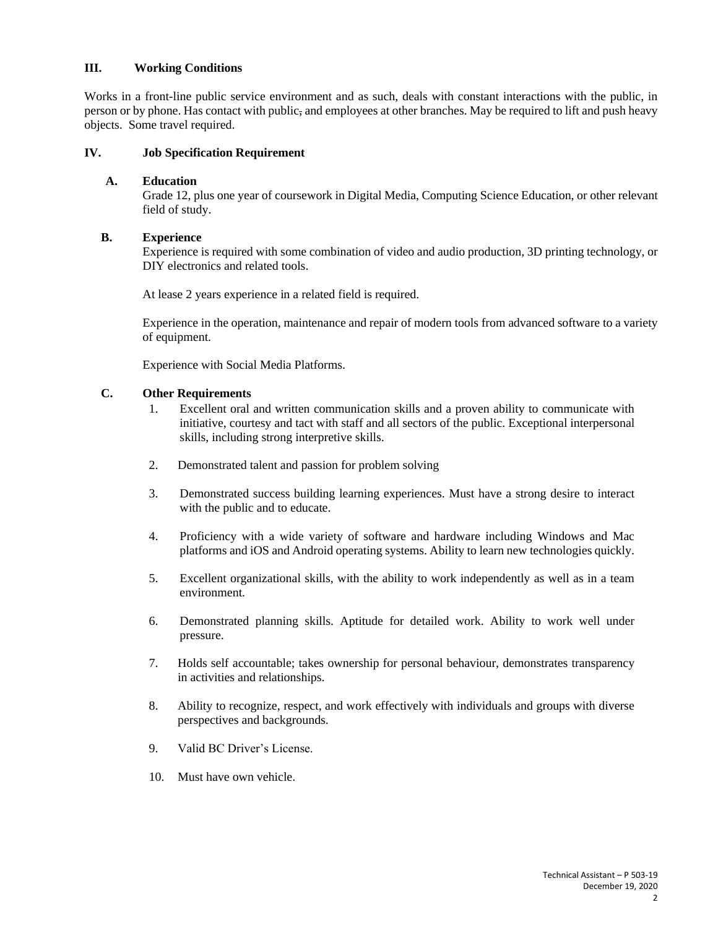## **III. Working Conditions**

Works in a front-line public service environment and as such, deals with constant interactions with the public, in person or by phone. Has contact with public, and employees at other branches. May be required to lift and push heavy objects. Some travel required.

#### **IV. Job Specification Requirement**

#### **A. Education**

Grade 12, plus one year of coursework in Digital Media, Computing Science Education, or other relevant field of study.

#### **B. Experience**

Experience is required with some combination of video and audio production, 3D printing technology, or DIY electronics and related tools.

At lease 2 years experience in a related field is required.

Experience in the operation, maintenance and repair of modern tools from advanced software to a variety of equipment.

Experience with Social Media Platforms.

### **C. Other Requirements**

- 1. Excellent oral and written communication skills and a proven ability to communicate with initiative, courtesy and tact with staff and all sectors of the public. Exceptional interpersonal skills, including strong interpretive skills.
- 2. Demonstrated talent and passion for problem solving
- 3. Demonstrated success building learning experiences. Must have a strong desire to interact with the public and to educate.
- 4. Proficiency with a wide variety of software and hardware including Windows and Mac platforms and iOS and Android operating systems. Ability to learn new technologies quickly.
- 5. Excellent organizational skills, with the ability to work independently as well as in a team environment.
- 6. Demonstrated planning skills. Aptitude for detailed work. Ability to work well under pressure.
- 7. Holds self accountable; takes ownership for personal behaviour, demonstrates transparency in activities and relationships.
- 8. Ability to recognize, respect, and work effectively with individuals and groups with diverse perspectives and backgrounds.
- 9. Valid BC Driver's License.
- 10. Must have own vehicle.